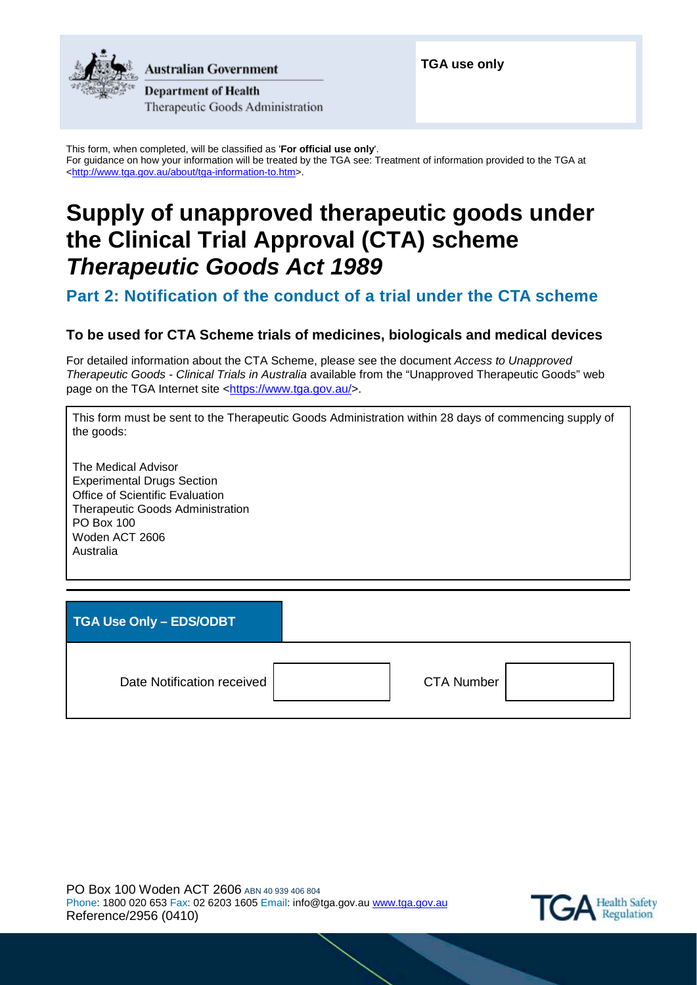

**Australian Government** 

**Department of Health** Therapeutic Goods Administration **TGA use only**

This form, when completed, will be classified as '**For official use only**'. For guidance on how your information will be treated by the TGA see: Treatment of information provided to the TGA at [<http://www.tga.gov.au/about/tga-information-to.htm>](http://www.tga.gov.au/about/tga-information-to.htm).

# **Supply of unapproved therapeutic goods under the Clinical Trial Approval (CTA) scheme** *Therapeutic Goods Act 1989*

# **Part 2: Notification of the conduct of a trial under the CTA scheme**

## **To be used for CTA Scheme trials of medicines, biologicals and medical devices**

For detailed information about the CTA Scheme, please see the document *Access to Unapproved Therapeutic Goods - Clinical Trials in Australia* available from the "Unapproved Therapeutic Goods" web page on the TGA Internet site [<https://www.tga.gov.au/>](https://www.tga.gov.au/).

This form must be sent to the Therapeutic Goods Administration within 28 days of commencing supply of the goods:

The Medical Advisor Experimental Drugs Section Office of Scientific Evaluation Therapeutic Goods Administration PO Box 100 Woden ACT 2606 Australia

**TGA Use Only – EDS/ODBT**

Date Notification received | The CTA Number

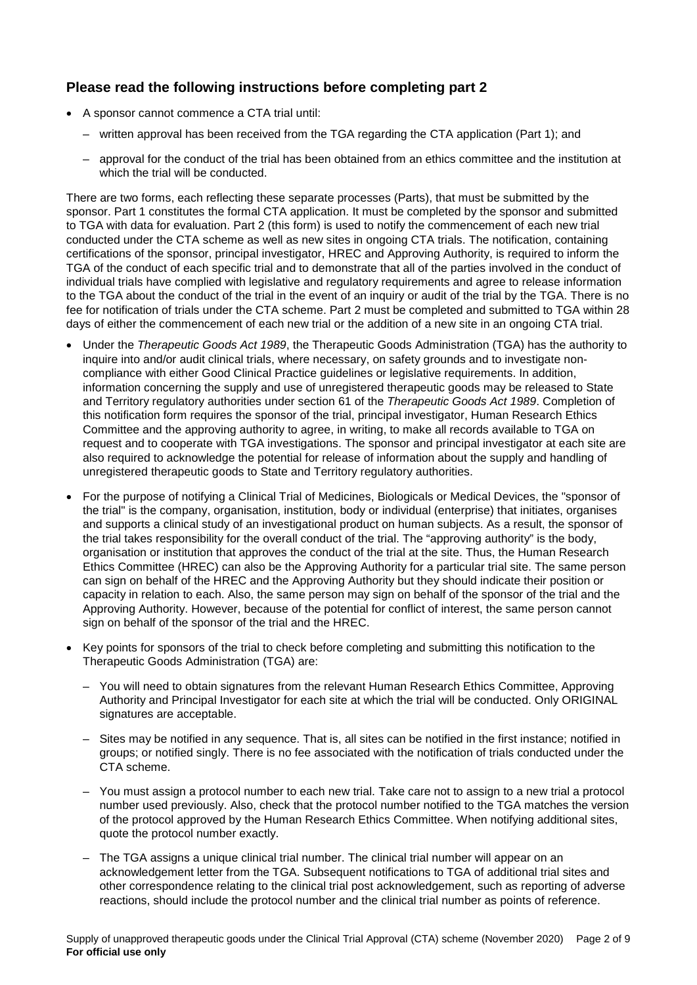# **Please read the following instructions before completing part 2**

- A sponsor cannot commence a CTA trial until:
	- written approval has been received from the TGA regarding the CTA application (Part 1); and
	- approval for the conduct of the trial has been obtained from an ethics committee and the institution at which the trial will be conducted.

There are two forms, each reflecting these separate processes (Parts), that must be submitted by the sponsor. Part 1 constitutes the formal CTA application. It must be completed by the sponsor and submitted to TGA with data for evaluation. Part 2 (this form) is used to notify the commencement of each new trial conducted under the CTA scheme as well as new sites in ongoing CTA trials. The notification, containing certifications of the sponsor, principal investigator, HREC and Approving Authority, is required to inform the TGA of the conduct of each specific trial and to demonstrate that all of the parties involved in the conduct of individual trials have complied with legislative and regulatory requirements and agree to release information to the TGA about the conduct of the trial in the event of an inquiry or audit of the trial by the TGA. There is no fee for notification of trials under the CTA scheme. Part 2 must be completed and submitted to TGA within 28 days of either the commencement of each new trial or the addition of a new site in an ongoing CTA trial.

- Under the *Therapeutic Goods Act 1989*, the Therapeutic Goods Administration (TGA) has the authority to inquire into and/or audit clinical trials, where necessary, on safety grounds and to investigate noncompliance with either Good Clinical Practice guidelines or legislative requirements. In addition, information concerning the supply and use of unregistered therapeutic goods may be released to State and Territory regulatory authorities under section 61 of the *Therapeutic Goods Act 1989*. Completion of this notification form requires the sponsor of the trial, principal investigator, Human Research Ethics Committee and the approving authority to agree, in writing, to make all records available to TGA on request and to cooperate with TGA investigations. The sponsor and principal investigator at each site are also required to acknowledge the potential for release of information about the supply and handling of unregistered therapeutic goods to State and Territory regulatory authorities.
- For the purpose of notifying a Clinical Trial of Medicines, Biologicals or Medical Devices, the "sponsor of the trial" is the company, organisation, institution, body or individual (enterprise) that initiates, organises and supports a clinical study of an investigational product on human subjects. As a result, the sponsor of the trial takes responsibility for the overall conduct of the trial. The "approving authority" is the body, organisation or institution that approves the conduct of the trial at the site. Thus, the Human Research Ethics Committee (HREC) can also be the Approving Authority for a particular trial site. The same person can sign on behalf of the HREC and the Approving Authority but they should indicate their position or capacity in relation to each. Also, the same person may sign on behalf of the sponsor of the trial and the Approving Authority. However, because of the potential for conflict of interest, the same person cannot sign on behalf of the sponsor of the trial and the HREC.
- Key points for sponsors of the trial to check before completing and submitting this notification to the Therapeutic Goods Administration (TGA) are:
	- You will need to obtain signatures from the relevant Human Research Ethics Committee, Approving Authority and Principal Investigator for each site at which the trial will be conducted. Only ORIGINAL signatures are acceptable.
	- Sites may be notified in any sequence. That is, all sites can be notified in the first instance; notified in groups; or notified singly. There is no fee associated with the notification of trials conducted under the CTA scheme.
	- You must assign a protocol number to each new trial. Take care not to assign to a new trial a protocol number used previously. Also, check that the protocol number notified to the TGA matches the version of the protocol approved by the Human Research Ethics Committee. When notifying additional sites, quote the protocol number exactly.
	- The TGA assigns a unique clinical trial number. The clinical trial number will appear on an acknowledgement letter from the TGA. Subsequent notifications to TGA of additional trial sites and other correspondence relating to the clinical trial post acknowledgement, such as reporting of adverse reactions, should include the protocol number and the clinical trial number as points of reference.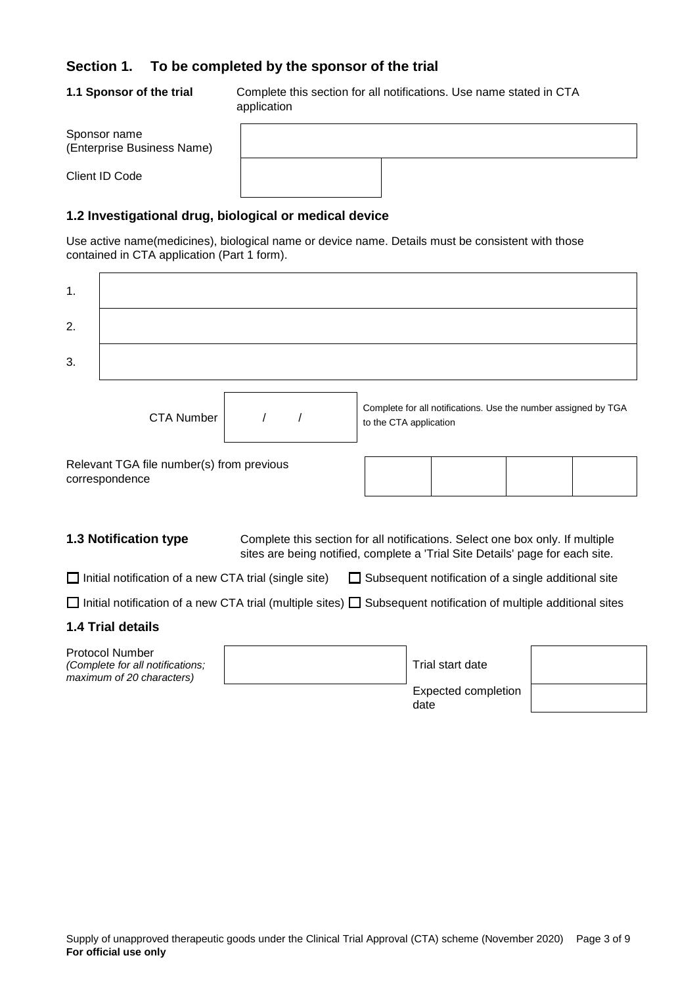### **Section 1. To be completed by the sponsor of the trial**

**1.1 Sponsor of the trial** Complete this section for all notifications. Use name stated in CTA application

| Sponsor name<br>(Enterprise Business Name) |  |  |
|--------------------------------------------|--|--|
| Client ID Code                             |  |  |

### **1.2 Investigational drug, biological or medical device**

Use active name(medicines), biological name or device name. Details must be consistent with those contained in CTA application (Part 1 form).

| $\mathbf 1$ . |                                                                                         |                                                                                                                                                                |                                                                                          |  |
|---------------|-----------------------------------------------------------------------------------------|----------------------------------------------------------------------------------------------------------------------------------------------------------------|------------------------------------------------------------------------------------------|--|
| 2.            |                                                                                         |                                                                                                                                                                |                                                                                          |  |
| 3.            |                                                                                         |                                                                                                                                                                |                                                                                          |  |
|               | <b>CTA Number</b>                                                                       |                                                                                                                                                                | Complete for all notifications. Use the number assigned by TGA<br>to the CTA application |  |
|               | Relevant TGA file number(s) from previous<br>correspondence                             |                                                                                                                                                                |                                                                                          |  |
|               | <b>1.3 Notification type</b>                                                            | Complete this section for all notifications. Select one box only. If multiple<br>sites are being notified, complete a 'Trial Site Details' page for each site. |                                                                                          |  |
|               | $\Box$ Initial notification of a new CTA trial (single site)                            |                                                                                                                                                                | $\Box$ Subsequent notification of a single additional site                               |  |
|               |                                                                                         | Initial notification of a new CTA trial (multiple sites) $\Box$ Subsequent notification of multiple additional sites                                           |                                                                                          |  |
|               | <b>1.4 Trial details</b>                                                                |                                                                                                                                                                |                                                                                          |  |
|               | <b>Protocol Number</b><br>(Complete for all notifications;<br>maximum of 20 characters) |                                                                                                                                                                | Trial start date                                                                         |  |
|               |                                                                                         |                                                                                                                                                                | <b>Expected completion</b><br>date                                                       |  |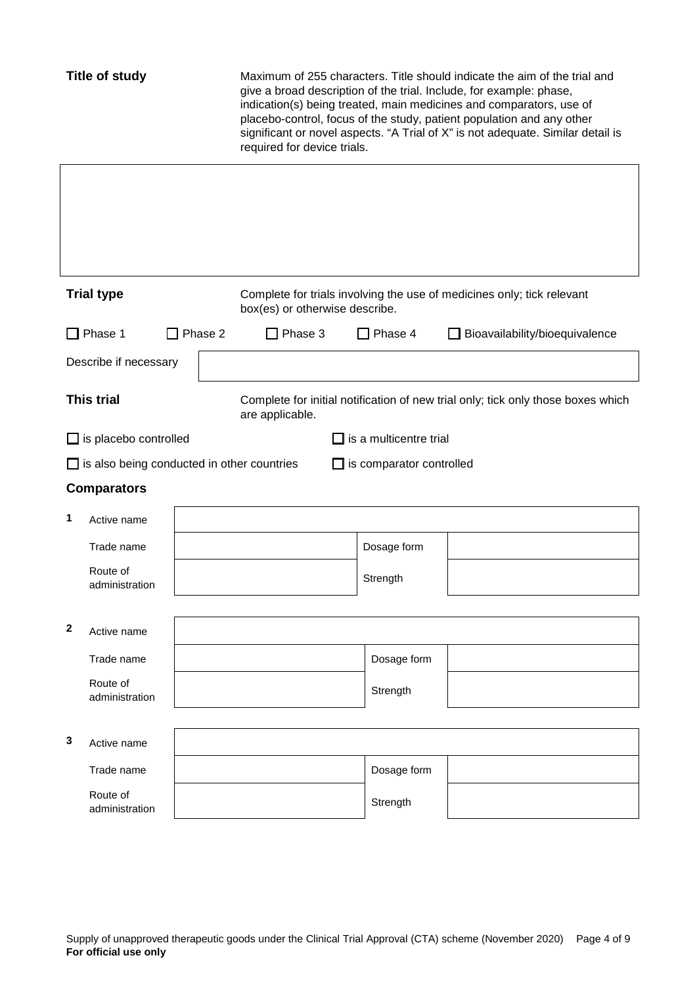| <b>Title of study</b> |                                                   |                | required for device trials. |                                | Maximum of 255 characters. Title should indicate the aim of the trial and<br>give a broad description of the trial. Include, for example: phase,<br>indication(s) being treated, main medicines and comparators, use of<br>placebo-control, focus of the study, patient population and any other<br>significant or novel aspects. "A Trial of X" is not adequate. Similar detail is |                                                                                  |
|-----------------------|---------------------------------------------------|----------------|-----------------------------|--------------------------------|-------------------------------------------------------------------------------------------------------------------------------------------------------------------------------------------------------------------------------------------------------------------------------------------------------------------------------------------------------------------------------------|----------------------------------------------------------------------------------|
|                       |                                                   |                |                             |                                |                                                                                                                                                                                                                                                                                                                                                                                     |                                                                                  |
|                       | <b>Trial type</b>                                 |                |                             | box(es) or otherwise describe. |                                                                                                                                                                                                                                                                                                                                                                                     | Complete for trials involving the use of medicines only; tick relevant           |
|                       | $\Box$ Phase 1                                    | $\Box$ Phase 2 |                             | ] Phase 3                      | ] Phase 4                                                                                                                                                                                                                                                                                                                                                                           | $\Box$ Bioavailability/bioequivalence                                            |
|                       | Describe if necessary                             |                |                             |                                |                                                                                                                                                                                                                                                                                                                                                                                     |                                                                                  |
|                       | <b>This trial</b>                                 |                |                             | are applicable.                |                                                                                                                                                                                                                                                                                                                                                                                     | Complete for initial notification of new trial only; tick only those boxes which |
|                       | $\Box$ is placebo controlled                      |                |                             |                                | is a multicentre trial                                                                                                                                                                                                                                                                                                                                                              |                                                                                  |
|                       | $\Box$ is also being conducted in other countries |                |                             |                                | $\Box$ is comparator controlled                                                                                                                                                                                                                                                                                                                                                     |                                                                                  |
|                       | <b>Comparators</b>                                |                |                             |                                |                                                                                                                                                                                                                                                                                                                                                                                     |                                                                                  |
| 1                     | Active name                                       |                |                             |                                |                                                                                                                                                                                                                                                                                                                                                                                     |                                                                                  |
|                       | Trade name                                        |                |                             |                                | Dosage form                                                                                                                                                                                                                                                                                                                                                                         |                                                                                  |
|                       | Route of<br>administration                        |                |                             |                                | Strength                                                                                                                                                                                                                                                                                                                                                                            |                                                                                  |
| $\mathbf 2$           | Active name                                       |                |                             |                                |                                                                                                                                                                                                                                                                                                                                                                                     |                                                                                  |
|                       | Trade name                                        |                |                             |                                | Dosage form                                                                                                                                                                                                                                                                                                                                                                         |                                                                                  |
|                       | Route of<br>administration                        |                |                             |                                | Strength                                                                                                                                                                                                                                                                                                                                                                            |                                                                                  |
| 3                     | Active name                                       |                |                             |                                |                                                                                                                                                                                                                                                                                                                                                                                     |                                                                                  |
|                       | Trade name                                        |                |                             |                                | Dosage form                                                                                                                                                                                                                                                                                                                                                                         |                                                                                  |
|                       | Route of<br>administration                        |                |                             |                                | Strength                                                                                                                                                                                                                                                                                                                                                                            |                                                                                  |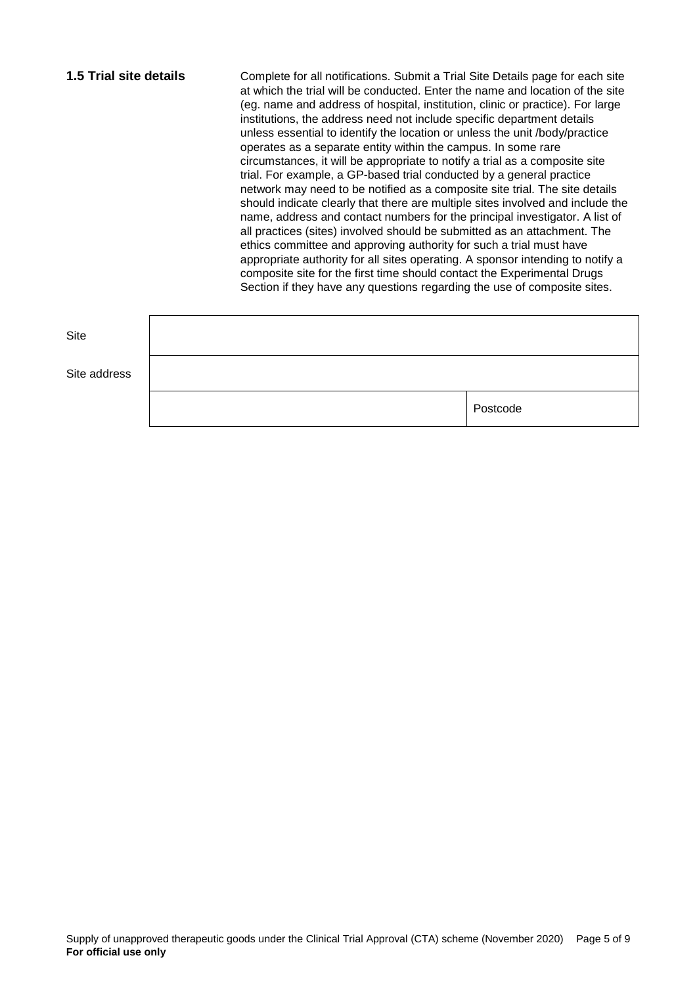| <b>1.5 Trial site details</b> | Complete for all notifications. Submit a Trial Site Details page for each site<br>at which the trial will be conducted. Enter the name and location of the site<br>(eg. name and address of hospital, institution, clinic or practice). For large<br>institutions, the address need not include specific department details<br>unless essential to identify the location or unless the unit /body/practice<br>operates as a separate entity within the campus. In some rare<br>circumstances, it will be appropriate to notify a trial as a composite site<br>trial. For example, a GP-based trial conducted by a general practice<br>network may need to be notified as a composite site trial. The site details<br>should indicate clearly that there are multiple sites involved and include the<br>name, address and contact numbers for the principal investigator. A list of<br>all practices (sites) involved should be submitted as an attachment. The<br>ethics committee and approving authority for such a trial must have<br>appropriate authority for all sites operating. A sponsor intending to notify a |
|-------------------------------|-------------------------------------------------------------------------------------------------------------------------------------------------------------------------------------------------------------------------------------------------------------------------------------------------------------------------------------------------------------------------------------------------------------------------------------------------------------------------------------------------------------------------------------------------------------------------------------------------------------------------------------------------------------------------------------------------------------------------------------------------------------------------------------------------------------------------------------------------------------------------------------------------------------------------------------------------------------------------------------------------------------------------------------------------------------------------------------------------------------------------|
|                               | composite site for the first time should contact the Experimental Drugs<br>Section if they have any questions regarding the use of composite sites.                                                                                                                                                                                                                                                                                                                                                                                                                                                                                                                                                                                                                                                                                                                                                                                                                                                                                                                                                                     |

| Site         |          |
|--------------|----------|
| Site address |          |
|              | Postcode |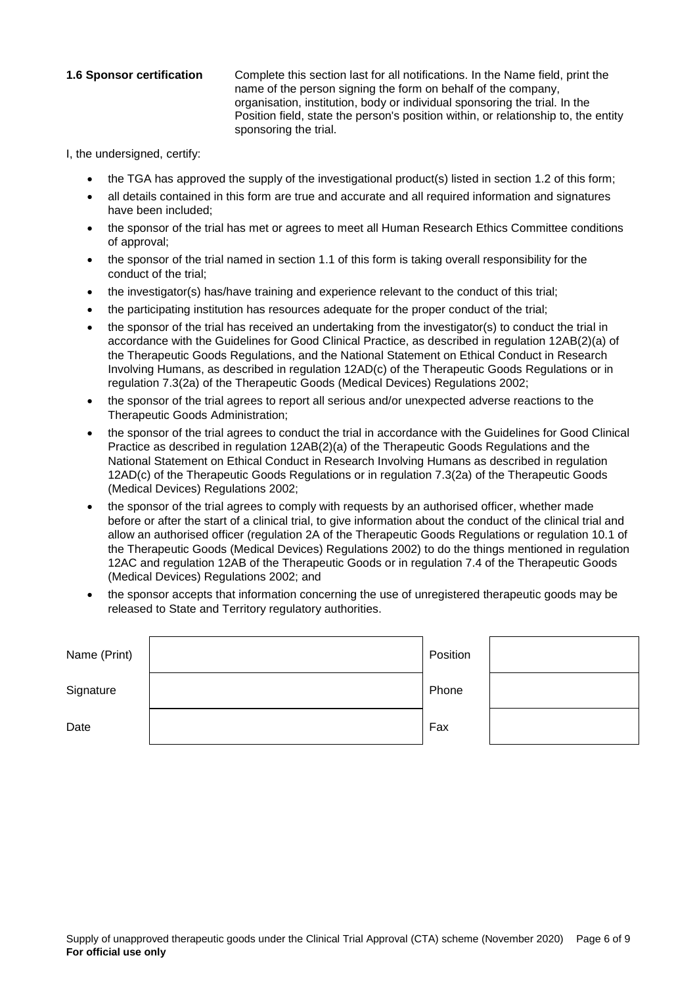**1.6 Sponsor certification** Complete this section last for all notifications. In the Name field, print the name of the person signing the form on behalf of the company, organisation, institution, body or individual sponsoring the trial. In the Position field, state the person's position within, or relationship to, the entity sponsoring the trial.

I, the undersigned, certify:

- the TGA has approved the supply of the investigational product(s) listed in section 1.2 of this form;
- all details contained in this form are true and accurate and all required information and signatures have been included;
- the sponsor of the trial has met or agrees to meet all Human Research Ethics Committee conditions of approval;
- the sponsor of the trial named in section 1.1 of this form is taking overall responsibility for the conduct of the trial;
- the investigator(s) has/have training and experience relevant to the conduct of this trial;
- the participating institution has resources adequate for the proper conduct of the trial;
- the sponsor of the trial has received an undertaking from the investigator(s) to conduct the trial in accordance with the Guidelines for Good Clinical Practice, as described in regulation 12AB(2)(a) of the Therapeutic Goods Regulations, and the National Statement on Ethical Conduct in Research Involving Humans, as described in regulation 12AD(c) of the Therapeutic Goods Regulations or in regulation 7.3(2a) of the Therapeutic Goods (Medical Devices) Regulations 2002;
- the sponsor of the trial agrees to report all serious and/or unexpected adverse reactions to the Therapeutic Goods Administration;
- the sponsor of the trial agrees to conduct the trial in accordance with the Guidelines for Good Clinical Practice as described in regulation 12AB(2)(a) of the Therapeutic Goods Regulations and the National Statement on Ethical Conduct in Research Involving Humans as described in regulation 12AD(c) of the Therapeutic Goods Regulations or in regulation 7.3(2a) of the Therapeutic Goods (Medical Devices) Regulations 2002;
- the sponsor of the trial agrees to comply with requests by an authorised officer, whether made before or after the start of a clinical trial, to give information about the conduct of the clinical trial and allow an authorised officer (regulation 2A of the Therapeutic Goods Regulations or regulation 10.1 of the Therapeutic Goods (Medical Devices) Regulations 2002) to do the things mentioned in regulation 12AC and regulation 12AB of the Therapeutic Goods or in regulation 7.4 of the Therapeutic Goods (Medical Devices) Regulations 2002; and
- the sponsor accepts that information concerning the use of unregistered therapeutic goods may be released to State and Territory regulatory authorities.

| Name (Print) | Position |  |
|--------------|----------|--|
| Signature    | Phone    |  |
| Date         | Fax      |  |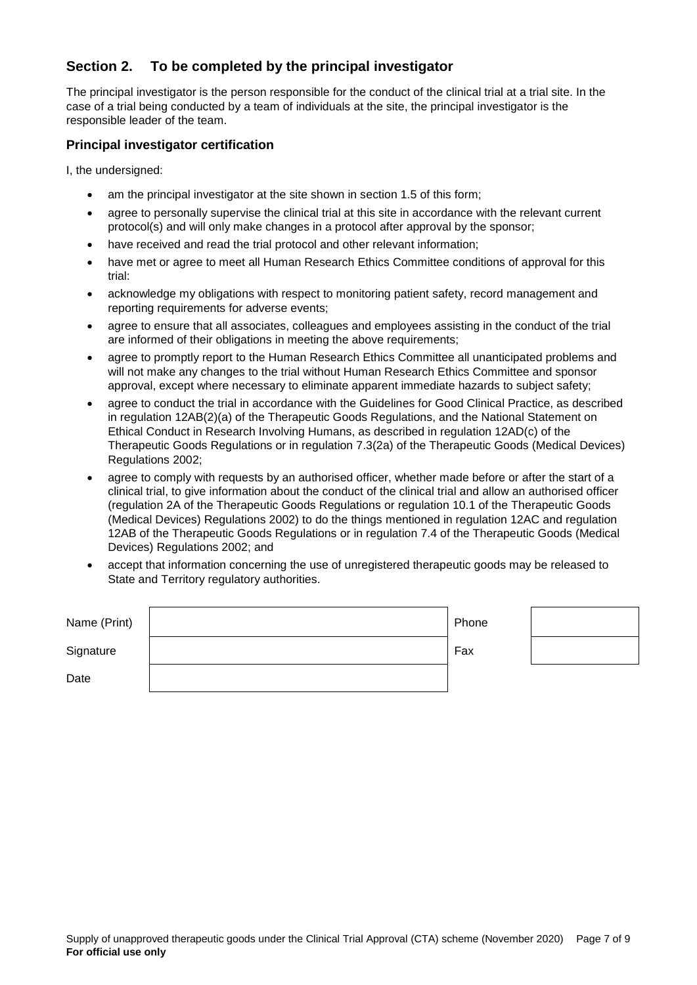# **Section 2. To be completed by the principal investigator**

The principal investigator is the person responsible for the conduct of the clinical trial at a trial site. In the case of a trial being conducted by a team of individuals at the site, the principal investigator is the responsible leader of the team.

### **Principal investigator certification**

I, the undersigned:

- am the principal investigator at the site shown in section 1.5 of this form;
- agree to personally supervise the clinical trial at this site in accordance with the relevant current protocol(s) and will only make changes in a protocol after approval by the sponsor;
- have received and read the trial protocol and other relevant information;
- have met or agree to meet all Human Research Ethics Committee conditions of approval for this trial:
- acknowledge my obligations with respect to monitoring patient safety, record management and reporting requirements for adverse events;
- agree to ensure that all associates, colleagues and employees assisting in the conduct of the trial are informed of their obligations in meeting the above requirements;
- agree to promptly report to the Human Research Ethics Committee all unanticipated problems and will not make any changes to the trial without Human Research Ethics Committee and sponsor approval, except where necessary to eliminate apparent immediate hazards to subject safety;
- agree to conduct the trial in accordance with the Guidelines for Good Clinical Practice, as described in regulation 12AB(2)(a) of the Therapeutic Goods Regulations, and the National Statement on Ethical Conduct in Research Involving Humans, as described in regulation 12AD(c) of the Therapeutic Goods Regulations or in regulation 7.3(2a) of the Therapeutic Goods (Medical Devices) Regulations 2002;
- agree to comply with requests by an authorised officer, whether made before or after the start of a clinical trial, to give information about the conduct of the clinical trial and allow an authorised officer (regulation 2A of the Therapeutic Goods Regulations or regulation 10.1 of the Therapeutic Goods (Medical Devices) Regulations 2002) to do the things mentioned in regulation 12AC and regulation 12AB of the Therapeutic Goods Regulations or in regulation 7.4 of the Therapeutic Goods (Medical Devices) Regulations 2002; and
- accept that information concerning the use of unregistered therapeutic goods may be released to State and Territory regulatory authorities.

| Name (Print) | Phone |  |
|--------------|-------|--|
| Signature    | Fax   |  |
| Date         |       |  |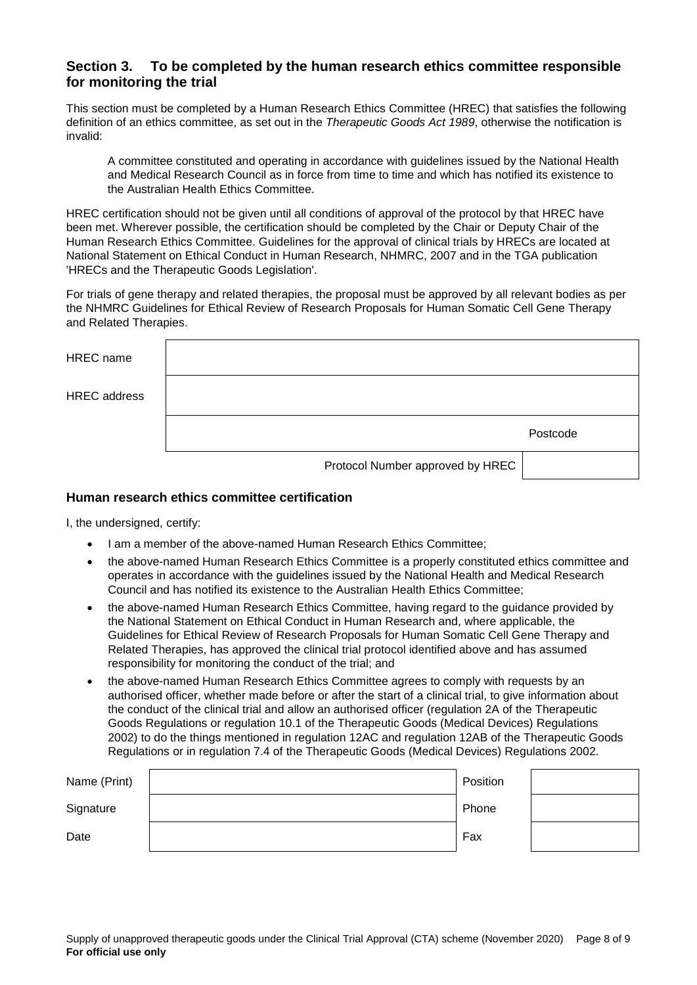### **Section 3. To be completed by the human research ethics committee responsible for monitoring the trial**

This section must be completed by a Human Research Ethics Committee (HREC) that satisfies the following definition of an ethics committee, as set out in the *Therapeutic Goods Act 1989*, otherwise the notification is invalid:

A committee constituted and operating in accordance with guidelines issued by the National Health and Medical Research Council as in force from time to time and which has notified its existence to the Australian Health Ethics Committee.

HREC certification should not be given until all conditions of approval of the protocol by that HREC have been met. Wherever possible, the certification should be completed by the Chair or Deputy Chair of the Human Research Ethics Committee. Guidelines for the approval of clinical trials by HRECs are located at National Statement on Ethical Conduct in Human Research, NHMRC, 2007 and in the TGA publication 'HRECs and the Therapeutic Goods Legislation'.

For trials of gene therapy and related therapies, the proposal must be approved by all relevant bodies as per the NHMRC Guidelines for Ethical Review of Research Proposals for Human Somatic Cell Gene Therapy and Related Therapies.

| <b>HREC</b> name    |                                  |          |
|---------------------|----------------------------------|----------|
| <b>HREC</b> address |                                  |          |
|                     |                                  | Postcode |
|                     | Protocol Number approved by HREC |          |

### **Human research ethics committee certification**

I, the undersigned, certify:

- I am a member of the above-named Human Research Ethics Committee;
- the above-named Human Research Ethics Committee is a properly constituted ethics committee and operates in accordance with the guidelines issued by the National Health and Medical Research Council and has notified its existence to the Australian Health Ethics Committee;
- the above-named Human Research Ethics Committee, having regard to the guidance provided by the National Statement on Ethical Conduct in Human Research and, where applicable, the Guidelines for Ethical Review of Research Proposals for Human Somatic Cell Gene Therapy and Related Therapies, has approved the clinical trial protocol identified above and has assumed responsibility for monitoring the conduct of the trial; and
- the above-named Human Research Ethics Committee agrees to comply with requests by an authorised officer, whether made before or after the start of a clinical trial, to give information about the conduct of the clinical trial and allow an authorised officer (regulation 2A of the Therapeutic Goods Regulations or regulation 10.1 of the Therapeutic Goods (Medical Devices) Regulations 2002) to do the things mentioned in regulation 12AC and regulation 12AB of the Therapeutic Goods Regulations or in regulation 7.4 of the Therapeutic Goods (Medical Devices) Regulations 2002.

| Name (Print) | Position |  |
|--------------|----------|--|
| Signature    | Phone    |  |
| Date         | Fax      |  |